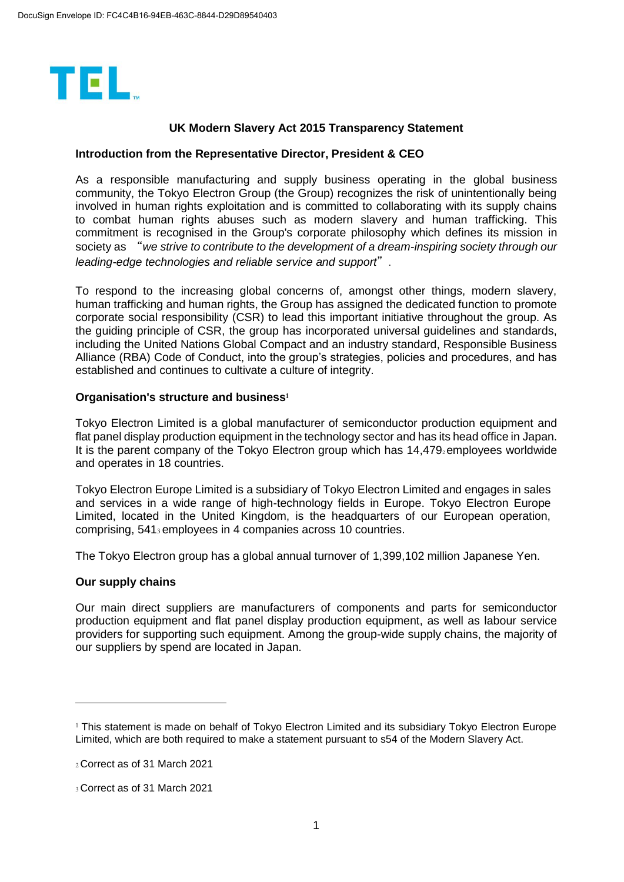

### **UK Modern Slavery Act 2015 Transparency Statement**

### **Introduction from the Representative Director, President & CEO**

As a responsible manufacturing and supply business operating in the global business community, the Tokyo Electron Group (the Group) recognizes the risk of unintentionally being involved in human rights exploitation and is committed to collaborating with its supply chains to combat human rights abuses such as modern slavery and human trafficking. This commitment is recognised in the Group's corporate philosophy which defines its mission in society as "*we strive to contribute to the development of a dream-inspiring society through our leading-edge technologies and reliable service and support*".

To respond to the increasing global concerns of, amongst other things, modern slavery, human trafficking and human rights, the Group has assigned the dedicated function to promote corporate social responsibility (CSR) to lead this important initiative throughout the group. As the guiding principle of CSR, the group has incorporated universal guidelines and standards, including the United Nations Global Compact and an industry standard, Responsible Business Alliance (RBA) Code of Conduct, into the group's strategies, policies and procedures, and has established and continues to cultivate a culture of integrity.

#### **Organisation's structure and business<sup>1</sup>**

Tokyo Electron Limited is a global manufacturer of semiconductor production equipment and flat panel display production equipment in the technology sector and has its head office in Japan. It is the parent company of the Tokyo Electron group which has  $14.479$ <sub>2</sub> employees worldwide and operates in 18 countries.

Tokyo Electron Europe Limited is a subsidiary of Tokyo Electron Limited and engages in sales and services in a wide range of high-technology fields in Europe. Tokyo Electron Europe Limited, located in the United Kingdom, is the headquarters of our European operation, comprising, 5413 employees in 4 companies across 10 countries.

The Tokyo Electron group has a global annual turnover of 1,399,102 million Japanese Yen.

#### **Our supply chains**

-

Our main direct suppliers are manufacturers of components and parts for semiconductor production equipment and flat panel display production equipment, as well as labour service providers for supporting such equipment. Among the group-wide supply chains, the majority of our suppliers by spend are located in Japan.

<sup>&</sup>lt;sup>1</sup> This statement is made on behalf of Tokyo Electron Limited and its subsidiary Tokyo Electron Europe Limited, which are both required to make a statement pursuant to s54 of the Modern Slavery Act.

<sup>2</sup>Correct as of 31 March 2021

<sup>3</sup>Correct as of 31 March 2021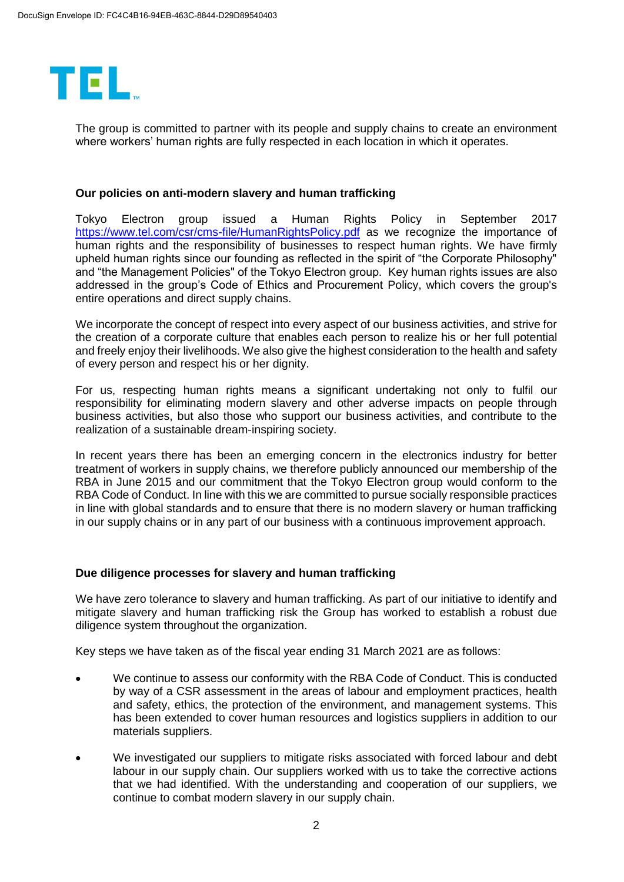

The group is committed to partner with its people and supply chains to create an environment where workers' human rights are fully respected in each location in which it operates.

### **Our policies on anti-modern slavery and human trafficking**

Tokyo Electron group issued a Human Rights Policy in September 2017 <https://www.tel.com/csr/cms-file/HumanRightsPolicy.pdf> as we recognize the importance of human rights and the responsibility of businesses to respect human rights. We have firmly upheld human rights since our founding as reflected in the spirit of "the Corporate Philosophy" and "the Management Policies" of the Tokyo Electron group. Key human rights issues are also addressed in the group's Code of Ethics and Procurement Policy, which covers the group's entire operations and direct supply chains.

We incorporate the concept of respect into every aspect of our business activities, and strive for the creation of a corporate culture that enables each person to realize his or her full potential and freely enjoy their livelihoods. We also give the highest consideration to the health and safety of every person and respect his or her dignity.

For us, respecting human rights means a significant undertaking not only to fulfil our responsibility for eliminating modern slavery and other adverse impacts on people through business activities, but also those who support our business activities, and contribute to the realization of a sustainable dream-inspiring society.

In recent years there has been an emerging concern in the electronics industry for better treatment of workers in supply chains, we therefore publicly announced our membership of the RBA in June 2015 and our commitment that the Tokyo Electron group would conform to the RBA Code of Conduct. In line with this we are committed to pursue socially responsible practices in line with global standards and to ensure that there is no modern slavery or human trafficking in our supply chains or in any part of our business with a continuous improvement approach.

# **Due diligence processes for slavery and human trafficking**

We have zero tolerance to slavery and human trafficking. As part of our initiative to identify and mitigate slavery and human trafficking risk the Group has worked to establish a robust due diligence system throughout the organization.

Key steps we have taken as of the fiscal year ending 31 March 2021 are as follows:

- We continue to assess our conformity with the RBA Code of Conduct. This is conducted by way of a CSR assessment in the areas of labour and employment practices, health and safety, ethics, the protection of the environment, and management systems. This has been extended to cover human resources and logistics suppliers in addition to our materials suppliers.
- We investigated our suppliers to mitigate risks associated with forced labour and debt labour in our supply chain. Our suppliers worked with us to take the corrective actions that we had identified. With the understanding and cooperation of our suppliers, we continue to combat modern slavery in our supply chain.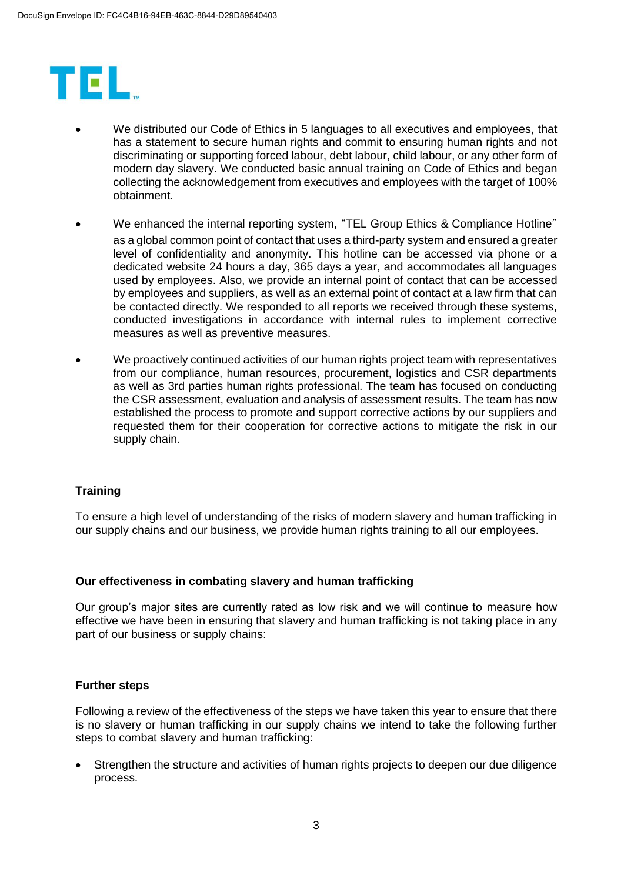

- We distributed our Code of Ethics in 5 languages to all executives and employees, that has a statement to secure human rights and commit to ensuring human rights and not discriminating or supporting forced labour, debt labour, child labour, or any other form of modern day slavery. We conducted basic annual training on Code of Ethics and began collecting the acknowledgement from executives and employees with the target of 100% obtainment.
- We enhanced the internal reporting system, "TEL Group Ethics & Compliance Hotline" as a global common point of contact that uses a third-party system and ensured a greater level of confidentiality and anonymity. This hotline can be accessed via phone or a dedicated website 24 hours a day, 365 days a year, and accommodates all languages used by employees. Also, we provide an internal point of contact that can be accessed by employees and suppliers, as well as an external point of contact at a law firm that can be contacted directly. We responded to all reports we received through these systems, conducted investigations in accordance with internal rules to implement corrective measures as well as preventive measures.
- We proactively continued activities of our human rights project team with representatives from our compliance, human resources, procurement, logistics and CSR departments as well as 3rd parties human rights professional. The team has focused on conducting the CSR assessment, evaluation and analysis of assessment results. The team has now established the process to promote and support corrective actions by our suppliers and requested them for their cooperation for corrective actions to mitigate the risk in our supply chain.

# **Training**

To ensure a high level of understanding of the risks of modern slavery and human trafficking in our supply chains and our business, we provide human rights training to all our employees.

#### **Our effectiveness in combating slavery and human trafficking**

Our group's major sites are currently rated as low risk and we will continue to measure how effective we have been in ensuring that slavery and human trafficking is not taking place in any part of our business or supply chains:

# **Further steps**

Following a review of the effectiveness of the steps we have taken this year to ensure that there is no slavery or human trafficking in our supply chains we intend to take the following further steps to combat slavery and human trafficking:

 Strengthen the structure and activities of human rights projects to deepen our due diligence process.